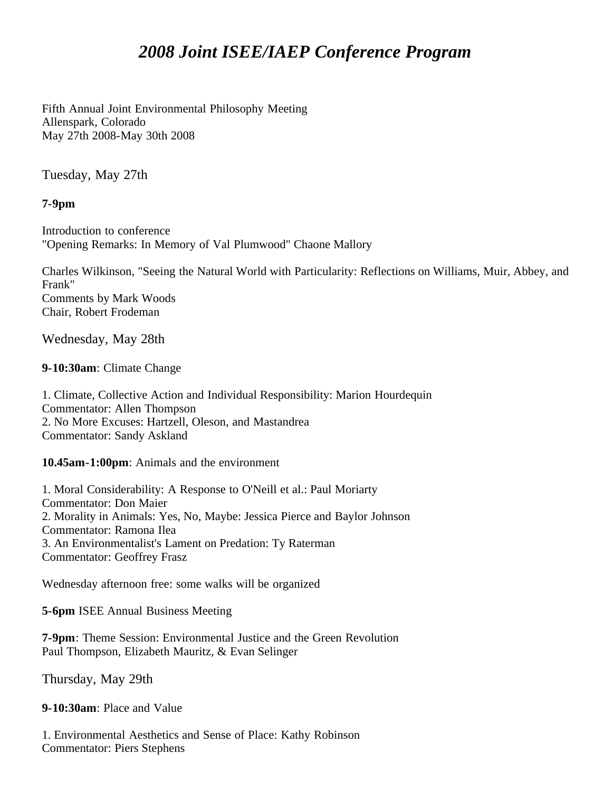## *2008 Joint ISEE/IAEP Conference Program*

Fifth Annual Joint Environmental Philosophy Meeting Allenspark, Colorado May 27th 2008-May 30th 2008

Tuesday, May 27th

**7-9pm**

Introduction to conference "Opening Remarks: In Memory of Val Plumwood" Chaone Mallory

Charles Wilkinson, "Seeing the Natural World with Particularity: Reflections on Williams, Muir, Abbey, and Frank" Comments by Mark Woods Chair, Robert Frodeman

Wednesday, May 28th

**9-10:30am**: Climate Change

1. Climate, Collective Action and Individual Responsibility: Marion Hourdequin Commentator: Allen Thompson 2. No More Excuses: Hartzell, Oleson, and Mastandrea Commentator: Sandy Askland

**10.45am-1:00pm**: Animals and the environment

1. Moral Considerability: A Response to O'Neill et al.: Paul Moriarty Commentator: Don Maier 2. Morality in Animals: Yes, No, Maybe: Jessica Pierce and Baylor Johnson Commentator: Ramona Ilea 3. An Environmentalist's Lament on Predation: Ty Raterman Commentator: Geoffrey Frasz

Wednesday afternoon free: some walks will be organized

**5-6pm** ISEE Annual Business Meeting

**7-9pm**: Theme Session: Environmental Justice and the Green Revolution Paul Thompson, Elizabeth Mauritz, & Evan Selinger

Thursday, May 29th

**9-10:30am**: Place and Value

1. Environmental Aesthetics and Sense of Place: Kathy Robinson Commentator: Piers Stephens